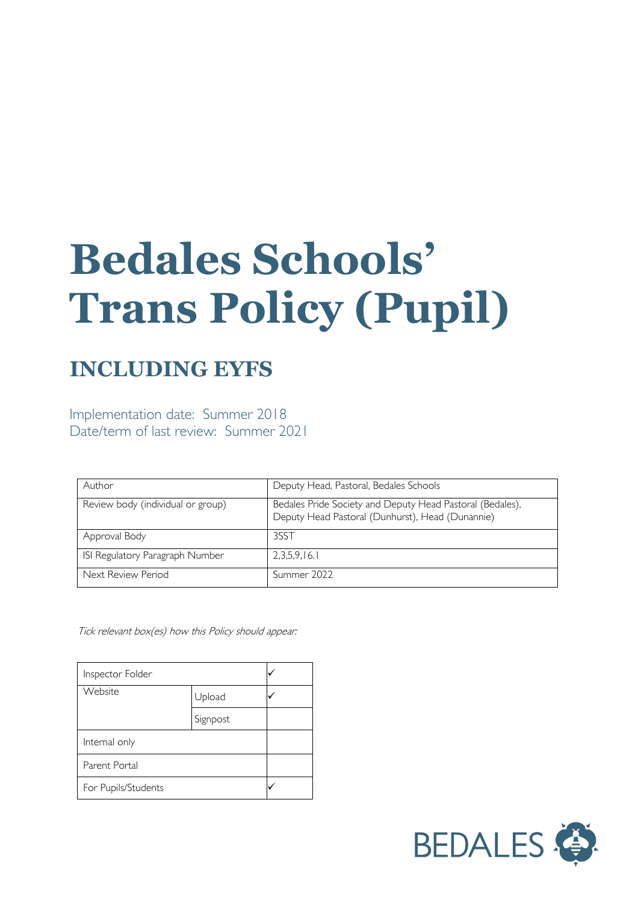# **Bedales Schools' Trans Policy (Pupil)**

# **INCLUDING EYFS**

Implementation date: Summer 2018 Date/term of last review: Summer 2021

| Author                            | Deputy Head, Pastoral, Bedales Schools                                                                        |
|-----------------------------------|---------------------------------------------------------------------------------------------------------------|
| Review body (individual or group) | Bedales Pride Society and Deputy Head Pastoral (Bedales),<br>Deputy Head Pastoral (Dunhurst), Head (Dunannie) |
| Approval Body                     | 3SST                                                                                                          |
| ISI Regulatory Paragraph Number   | 2,3,5,9,16.1                                                                                                  |
| Next Review Period                | Summer 2022                                                                                                   |

Tick relevant box(es) how this Policy should appear:

| Inspector Folder    |          |  |
|---------------------|----------|--|
| Website             | Upload   |  |
|                     | Signpost |  |
| Internal only       |          |  |
| Parent Portal       |          |  |
| For Pupils/Students |          |  |

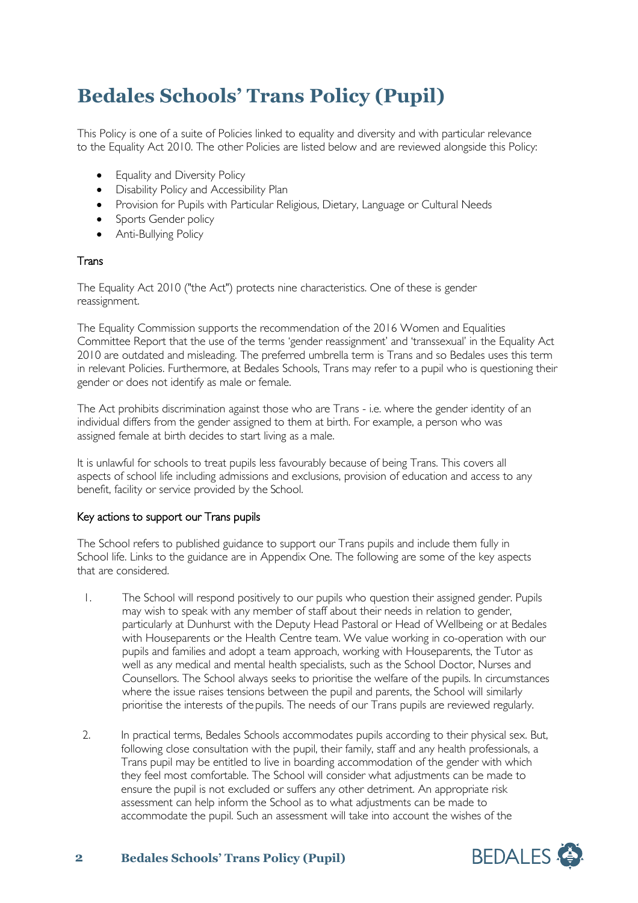# **Bedales Schools' Trans Policy (Pupil)**

This Policy is one of a suite of Policies linked to equality and diversity and with particular relevance to the Equality Act 2010. The other Policies are listed below and are reviewed alongside this Policy:

- Equality and Diversity Policy
- Disability Policy and Accessibility Plan
- Provision for Pupils with Particular Religious, Dietary, Language or Cultural Needs
- Sports Gender policy
- Anti-Bullying Policy

## Trans

The Equality Act 2010 ("the Act") protects nine characteristics. One of these is gender reassignment.

The Equality Commission supports the recommendation of the 2016 Women and Equalities Committee Report that the use of the terms 'gender reassignment' and 'transsexual' in the Equality Act 2010 are outdated and misleading. The preferred umbrella term is Trans and so Bedales uses this term in relevant Policies. Furthermore, at Bedales Schools, Trans may refer to a pupil who is questioning their gender or does not identify as male or female.

The Act prohibits discrimination against those who are Trans - i.e. where the gender identity of an individual differs from the gender assigned to them at birth. For example, a person who was assigned female at birth decides to start living as a male.

It is unlawful for schools to treat pupils less favourably because of being Trans. This covers all aspects of school life including admissions and exclusions, provision of education and access to any benefit, facility or service provided by the School.

#### Key actions to support our Trans pupils

The School refers to published guidance to support our Trans pupils and include them fully in School life. Links to the guidance are in Appendix One. The following are some of the key aspects that are considered.

- 1. The School will respond positively to our pupils who question their assigned gender. Pupils may wish to speak with any member of staff about their needs in relation to gender, particularly at Dunhurst with the Deputy Head Pastoral or Head of Wellbeing or at Bedales with Houseparents or the Health Centre team. We value working in co-operation with our pupils and families and adopt a team approach, working with Houseparents, the Tutor as well as any medical and mental health specialists, such as the School Doctor, Nurses and Counsellors. The School always seeks to prioritise the welfare of the pupils. In circumstances where the issue raises tensions between the pupil and parents, the School will similarly prioritise the interests of the pupils. The needs of our Trans pupils are reviewed regularly.
- 2. In practical terms, Bedales Schools accommodates pupils according to their physical sex. But, following close consultation with the pupil, their family, staff and any health professionals, a Trans pupil may be entitled to live in boarding accommodation of the gender with which they feel most comfortable. The School will consider what adjustments can be made to ensure the pupil is not excluded or suffers any other detriment. An appropriate risk assessment can help inform the School as to what adjustments can be made to accommodate the pupil. Such an assessment will take into account the wishes of the



## **2 Bedales Schools' Trans Policy (Pupil)**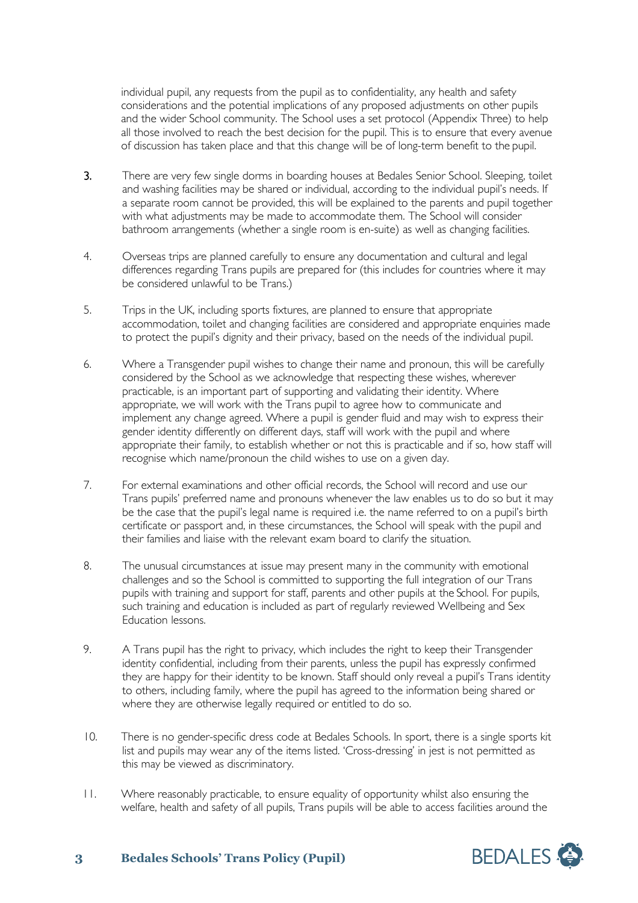individual pupil, any requests from the pupil as to confidentiality, any health and safety considerations and the potential implications of any proposed adjustments on other pupils and the wider School community. The School uses a set protocol (Appendix Three) to help all those involved to reach the best decision for the pupil. This is to ensure that every avenue of discussion has taken place and that this change will be of long-term benefit to the pupil.

- 3. There are very few single dorms in boarding houses at Bedales Senior School. Sleeping, toilet and washing facilities may be shared or individual, according to the individual pupil's needs. If a separate room cannot be provided, this will be explained to the parents and pupil together with what adjustments may be made to accommodate them. The School will consider bathroom arrangements (whether a single room is en-suite) as well as changing facilities.
- 4. Overseas trips are planned carefully to ensure any documentation and cultural and legal differences regarding Trans pupils are prepared for (this includes for countries where it may be considered unlawful to be Trans.)
- 5. Trips in the UK, including sports fixtures, are planned to ensure that appropriate accommodation, toilet and changing facilities are considered and appropriate enquiries made to protect the pupil's dignity and their privacy, based on the needs of the individual pupil.
- 6. Where a Transgender pupil wishes to change their name and pronoun, this will be carefully considered by the School as we acknowledge that respecting these wishes, wherever practicable, is an important part of supporting and validating their identity. Where appropriate, we will work with the Trans pupil to agree how to communicate and implement any change agreed. Where a pupil is gender fluid and may wish to express their gender identity differently on different days, staff will work with the pupil and where appropriate their family, to establish whether or not this is practicable and if so, how staff will recognise which name/pronoun the child wishes to use on a given day.
- 7. For external examinations and other official records, the School will record and use our Trans pupils' preferred name and pronouns whenever the law enables us to do so but it may be the case that the pupil's legal name is required i.e. the name referred to on a pupil's birth certificate or passport and, in these circumstances, the School will speak with the pupil and their families and liaise with the relevant exam board to clarify the situation.
- 8. The unusual circumstances at issue may present many in the community with emotional challenges and so the School is committed to supporting the full integration of our Trans pupils with training and support for staff, parents and other pupils at the School. For pupils, such training and education is included as part of regularly reviewed Wellbeing and Sex Education lessons.
- 9. A Trans pupil has the right to privacy, which includes the right to keep their Transgender identity confidential, including from their parents, unless the pupil has expressly confirmed they are happy for their identity to be known. Staff should only reveal a pupil's Trans identity to others, including family, where the pupil has agreed to the information being shared or where they are otherwise legally required or entitled to do so.
- 10. There is no gender-specific dress code at Bedales Schools. In sport, there is a single sports kit list and pupils may wear any of the items listed. 'Cross-dressing' in jest is not permitted as this may be viewed as discriminatory.
- 11. Where reasonably practicable, to ensure equality of opportunity whilst also ensuring the welfare, health and safety of all pupils, Trans pupils will be able to access facilities around the



## **3 Bedales Schools' Trans Policy (Pupil)**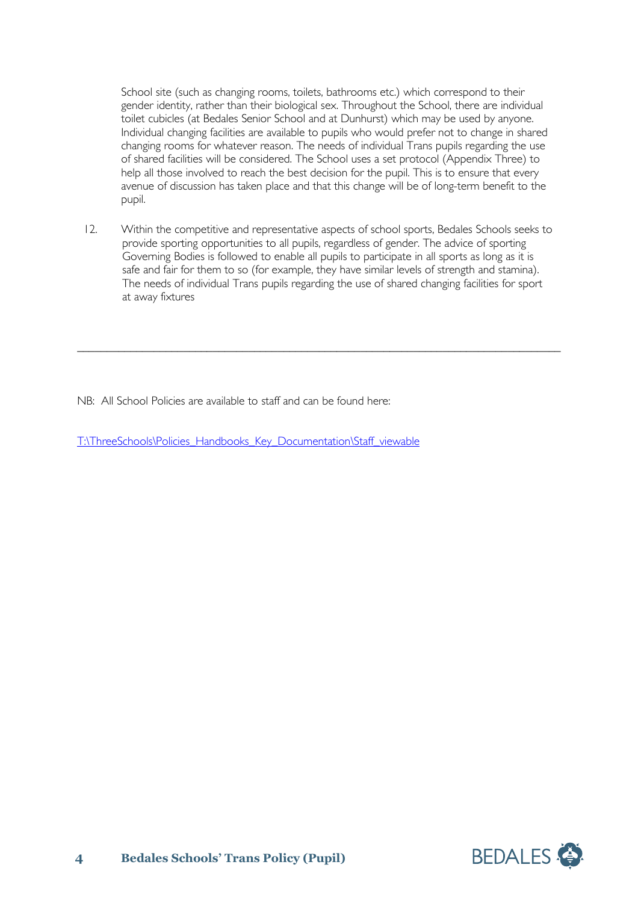School site (such as changing rooms, toilets, bathrooms etc.) which correspond to their gender identity, rather than their biological sex. Throughout the School, there are individual toilet cubicles (at Bedales Senior School and at Dunhurst) which may be used by anyone. Individual changing facilities are available to pupils who would prefer not to change in shared changing rooms for whatever reason. The needs of individual Trans pupils regarding the use of shared facilities will be considered. The School uses a set protocol (Appendix Three) to help all those involved to reach the best decision for the pupil. This is to ensure that every avenue of discussion has taken place and that this change will be of long-term benefit to the pupil.

12. Within the competitive and representative aspects of school sports, Bedales Schools seeks to provide sporting opportunities to all pupils, regardless of gender. The advice of sporting Governing Bodies is followed to enable all pupils to participate in all sports as long as it is safe and fair for them to so (for example, they have similar levels of strength and stamina). The needs of individual Trans pupils regarding the use of shared changing facilities for sport at away fixtures

\_\_\_\_\_\_\_\_\_\_\_\_\_\_\_\_\_\_\_\_\_\_\_\_\_\_\_\_\_\_\_\_\_\_\_\_\_\_\_\_\_\_\_\_\_\_\_\_\_\_\_\_\_\_\_\_\_\_\_\_\_\_\_\_\_\_\_\_\_\_\_\_\_\_\_\_\_\_\_\_\_\_

NB: All School Policies are available to staff and can be found here:

[T:\ThreeSchools\Policies\\_Handbooks\\_Key\\_Documentation\Staff\\_viewable](file://vm-009-fs/root$/ThreeSchools/Policies_Handbooks_Key_Documentation/Staff_viewable)

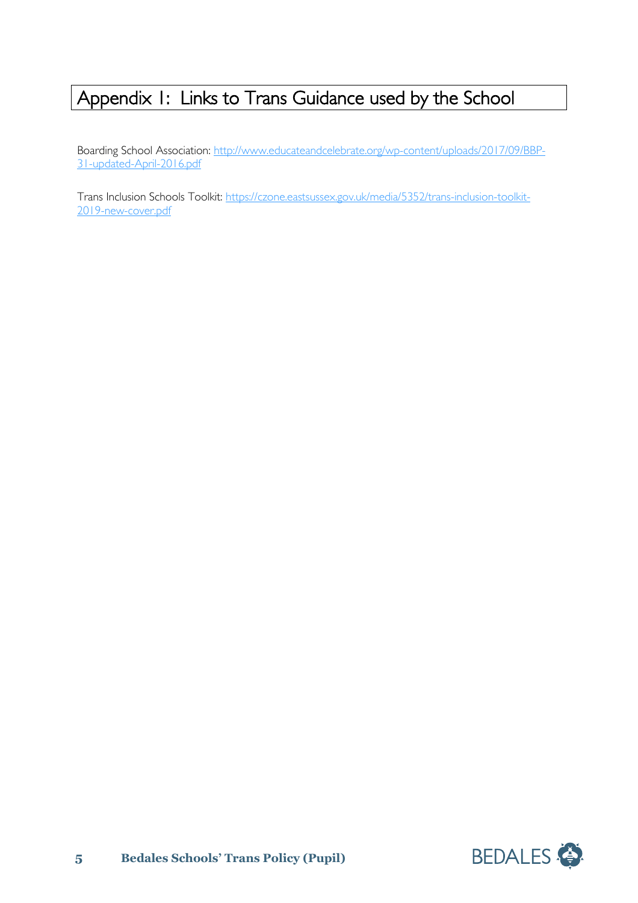## Appendix 1: Links to Trans Guidance used by the School

Boarding School Association: [http://www.educateandcelebrate.org/wp-content/uploads/2017/09/BBP-](http://www.educateandcelebrate.org/wp-content/uploads/2017/09/BBP-31-updated-April-2016.pdf)[31-updated-April-2016.pdf](http://www.educateandcelebrate.org/wp-content/uploads/2017/09/BBP-31-updated-April-2016.pdf)

Trans Inclusion Schools Toolkit: [https://czone.eastsussex.gov.uk/media/5352/trans-inclusion-toolkit-](https://czone.eastsussex.gov.uk/media/5352/trans-inclusion-toolkit-2019-new-cover.pdf)[2019-new-cover.pdf](https://czone.eastsussex.gov.uk/media/5352/trans-inclusion-toolkit-2019-new-cover.pdf)

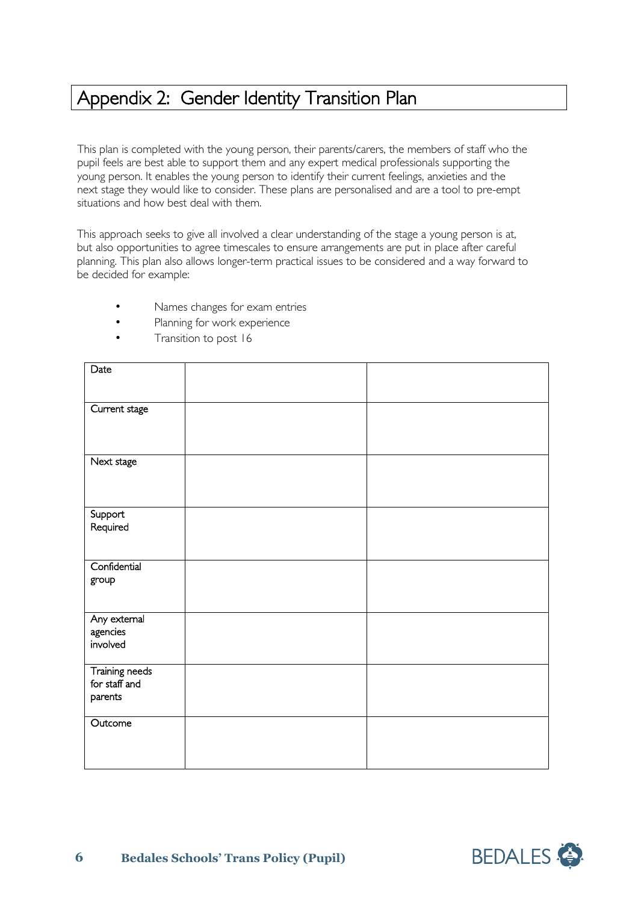## Appendix 2: Gender Identity Transition Plan

This plan is completed with the young person, their parents/carers, the members of staff who the pupil feels are best able to support them and any expert medical professionals supporting the young person. It enables the young person to identify their current feelings, anxieties and the next stage they would like to consider. These plans are personalised and are a tool to pre-empt situations and how best deal with them.

This approach seeks to give all involved a clear understanding of the stage a young person is at, but also opportunities to agree timescales to ensure arrangements are put in place after careful planning. This plan also allows longer-term practical issues to be considered and a way forward to be decided for example:

- Names changes for exam entries
- Planning for work experience
- Transition to post 16

| Date                                       |  |
|--------------------------------------------|--|
| Current stage                              |  |
| Next stage                                 |  |
| Support<br>Required                        |  |
| Confidential<br>group                      |  |
| Any external<br>agencies<br>involved       |  |
| Training needs<br>for staff and<br>parents |  |
| Outcome                                    |  |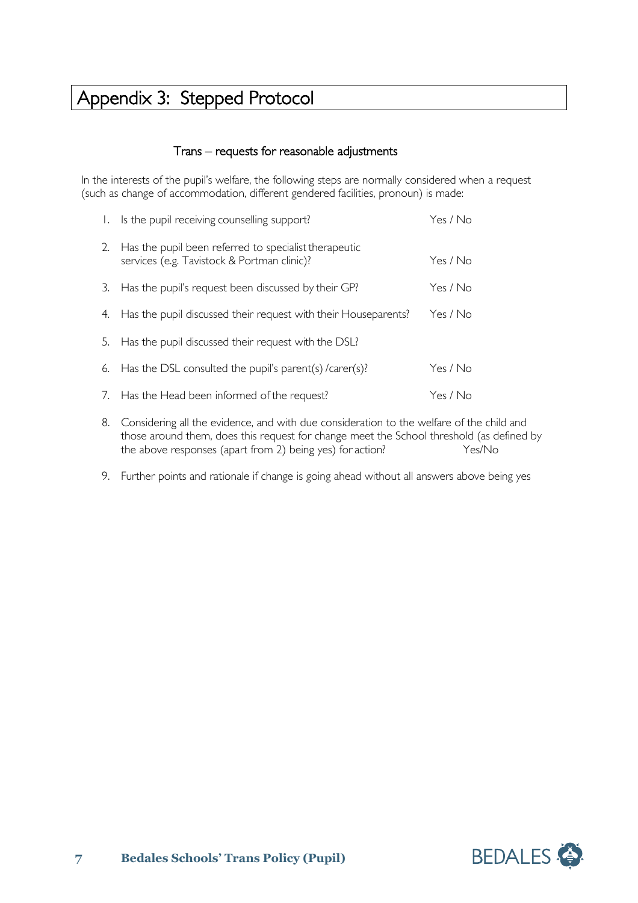## Appendix 3: Stepped Protocol

## Trans – requests for reasonable adjustments

In the interests of the pupil's welfare, the following steps are normally considered when a request (such as change of accommodation, different gendered facilities, pronoun) is made:

| $\mathbf{L}$ | Is the pupil receiving counselling support?                                                          | Yes / No |
|--------------|------------------------------------------------------------------------------------------------------|----------|
| 2.           | Has the pupil been referred to specialist therapeutic<br>services (e.g. Tavistock & Portman clinic)? | Yes / No |
| 3.           | Has the pupil's request been discussed by their GP?                                                  | Yes / No |
| 4.           | Has the pupil discussed their request with their Houseparents?                                       | Yes / No |
| 5.           | Has the pupil discussed their request with the DSL?                                                  |          |
| 6.           | Has the DSL consulted the pupil's parent(s) /carer(s)?                                               | Yes / No |
|              | 7. Has the Head been informed of the request?                                                        | Yes / No |
|              |                                                                                                      |          |

- 8. Considering all the evidence, and with due consideration to the welfare of the child and those around them, does this request for change meet the School threshold (as defined by the above responses (apart from 2) being yes) for action? Yes/No
- 9. Further points and rationale if change is going ahead without all answers above being yes